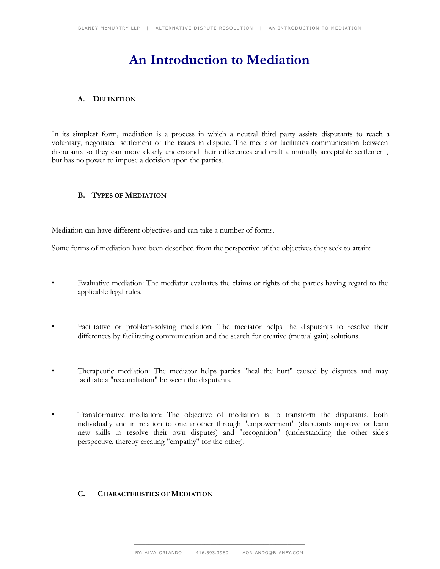# **An Introduction to Mediation**

## **A. DEFINITION**

In its simplest form, mediation is a process in which a neutral third party assists disputants to reach a voluntary, negotiated settlement of the issues in dispute. The mediator facilitates communication between disputants so they can more clearly understand their differences and craft a mutually acceptable settlement, but has no power to impose a decision upon the parties.

# **B. TYPES OF MEDIATION**

Mediation can have different objectives and can take a number of forms.

Some forms of mediation have been described from the perspective of the objectives they seek to attain:

- Evaluative mediation: The mediator evaluates the claims or rights of the parties having regard to the applicable legal rules.
- Facilitative or problem-solving mediation: The mediator helps the disputants to resolve their differences by facilitating communication and the search for creative (mutual gain) solutions.
- Therapeutic mediation: The mediator helps parties "heal the hurt" caused by disputes and may facilitate a "reconciliation" between the disputants.
- Transformative mediation: The objective of mediation is to transform the disputants, both individually and in relation to one another through "empowerment" (disputants improve or learn new skills to resolve their own disputes) and "recognition" (understanding the other side's perspective, thereby creating "empathy" for the other).

### **C. CHARACTERISTICS OF MEDIATION**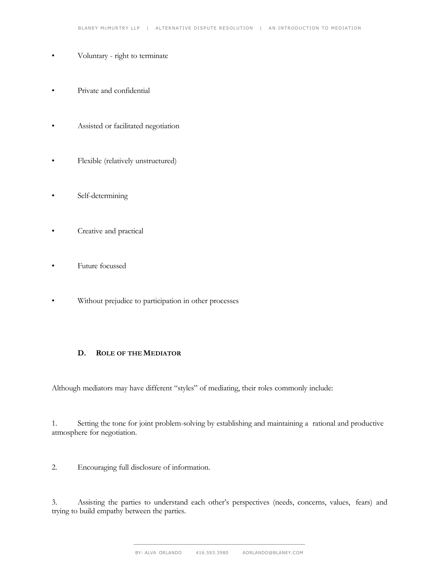- Voluntary right to terminate
- Private and confidential
- Assisted or facilitated negotiation
- Flexible (relatively unstructured)
- Self-determining
- Creative and practical
- Future focussed
- Without prejudice to participation in other processes

#### **D. ROLE OF THE MEDIATOR**

Although mediators may have different "styles" of mediating, their roles commonly include:

1. Setting the tone for joint problem-solving by establishing and maintaining a rational and productive atmosphere for negotiation.

2. Encouraging full disclosure of information.

3. Assisting the parties to understand each other's perspectives (needs, concerns, values, fears) and trying to build empathy between the parties.